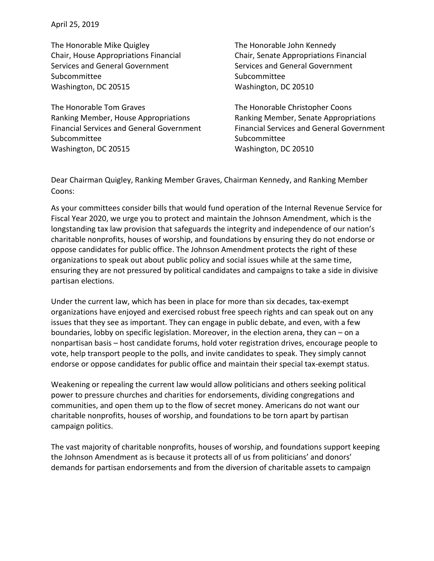April 25, 2019

The Honorable Mike Quigley Chair, House Appropriations Financial Services and General Government Subcommittee Washington, DC 20515

The Honorable Tom Graves Ranking Member, House Appropriations Financial Services and General Government Subcommittee Washington, DC 20515

The Honorable John Kennedy Chair, Senate Appropriations Financial Services and General Government Subcommittee Washington, DC 20510

The Honorable Christopher Coons Ranking Member, Senate Appropriations Financial Services and General Government Subcommittee Washington, DC 20510

Dear Chairman Quigley, Ranking Member Graves, Chairman Kennedy, and Ranking Member Coons:

As your committees consider bills that would fund operation of the Internal Revenue Service for Fiscal Year 2020, we urge you to protect and maintain the Johnson Amendment, which is the longstanding tax law provision that safeguards the integrity and independence of our nation's charitable nonprofits, houses of worship, and foundations by ensuring they do not endorse or oppose candidates for public office. The Johnson Amendment protects the right of these organizations to speak out about public policy and social issues while at the same time, ensuring they are not pressured by political candidates and campaigns to take a side in divisive partisan elections.

Under the current law, which has been in place for more than six decades, tax-exempt organizations have enjoyed and exercised robust free speech rights and can speak out on any issues that they see as important. They can engage in public debate, and even, with a few boundaries, lobby on specific legislation. Moreover, in the election arena, they can – on a nonpartisan basis – host candidate forums, hold voter registration drives, encourage people to vote, help transport people to the polls, and invite candidates to speak. They simply cannot endorse or oppose candidates for public office and maintain their special tax-exempt status.

Weakening or repealing the current law would allow politicians and others seeking political power to pressure churches and charities for endorsements, dividing congregations and communities, and open them up to the flow of secret money. Americans do not want our charitable nonprofits, houses of worship, and foundations to be torn apart by partisan campaign politics.

The vast majority of charitable nonprofits, houses of worship, and foundations support keeping the Johnson Amendment as is because it protects all of us from politicians' and donors' demands for partisan endorsements and from the diversion of charitable assets to campaign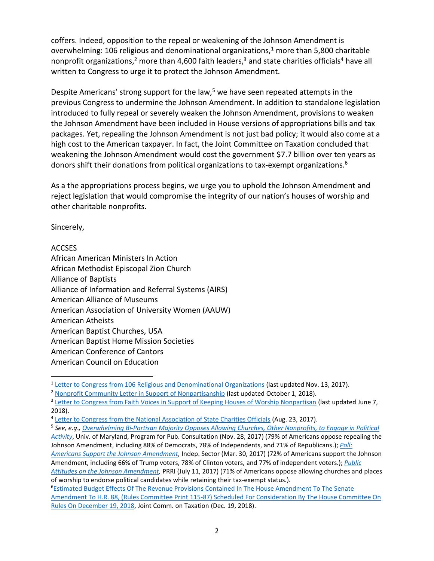coffers. Indeed, opposition to the repeal or weakening of the Johnson Amendment is overwhelming: 106 religious and denominational organizations, $1$  more than 5,800 charitable nonprofit organizations,<sup>2</sup> more than 4,600 faith leaders,<sup>3</sup> and state charities officials<sup>4</sup> have all written to Congress to urge it to protect the Johnson Amendment.

Despite Americans' strong support for the law, $5$  we have seen repeated attempts in the previous Congress to undermine the Johnson Amendment. In addition to standalone legislation introduced to fully repeal or severely weaken the Johnson Amendment, provisions to weaken the Johnson Amendment have been included in House versions of appropriations bills and tax packages. Yet, repealing the Johnson Amendment is not just bad policy; it would also come at a high cost to the American taxpayer. In fact, the Joint Committee on Taxation concluded that weakening the Johnson Amendment would cost the government \$7.7 billion over ten years as donors shift their donations from political organizations to tax-exempt organizations.<sup>6</sup>

As a the appropriations process begins, we urge you to uphold the Johnson Amendment and reject legislation that would compromise the integrity of our nation's houses of worship and other charitable nonprofits.

Sincerely,

## ACCSES

 $\overline{\phantom{a}}$ 

African American Ministers In Action African Methodist Episcopal Zion Church Alliance of Baptists Alliance of Information and Referral Systems (AIRS) American Alliance of Museums American Association of University Women (AAUW) American Atheists American Baptist Churches, USA American Baptist Home Mission Societies American Conference of Cantors American Council on Education

<sup>2</sup> Nonprofit Community Letter [in Support of Nonpartisanship](https://www.givevoice.org/sites/default/files/community-letter-in-support-of-nonpartisanship-5-12-update.pdf) (last updated October 1, 2018).

5 *See, e.g*.*, [Overwhelming Bi-Partisan Majority Opposes Allowing Churches, Other Nonprofits, to Engage in Political](http://www.publicconsultation.org/united-states/overwhelming-bi-partisan-majority-opposes-allowing-churches-other-nonprofits-to-engage-in-political-activity/)  [Activity](http://www.publicconsultation.org/united-states/overwhelming-bi-partisan-majority-opposes-allowing-churches-other-nonprofits-to-engage-in-political-activity/)*, Univ. of Maryland, Program for Pub. Consultation (Nov. 28, 2017) (79% of Americans oppose repealing the Johnson Amendment, including 88% of Democrats, 78% of Independents, and 71% of Republicans.); *[Poll:](http://independentsector.org/resource/poll-americans-support-keeping-amendment/)  [Americans Support the Johnson Amendment,](http://independentsector.org/resource/poll-americans-support-keeping-amendment/)* Indep. Sector (Mar. 30, 2017) (72% of Americans support the Johnson

Amendment, including 66% of Trump voters, 78% of Clinton voters, and 77% of independent voters.); *[Public](https://static1.squarespace.com/static/568e979c40667a5cc6a4eaf1/t/59667650c534a57b1fe12f48/1499887184889/PRRI+poll.pdf)* 

*[Attitudes on the Johnson Amendment,](https://static1.squarespace.com/static/568e979c40667a5cc6a4eaf1/t/59667650c534a57b1fe12f48/1499887184889/PRRI+poll.pdf)* PRRI (July 11, 2017) (71% of Americans oppose allowing churches and places of worship to endorse political candidates while retaining their tax-exempt status.).

<sup>&</sup>lt;sup>1</sup> [Letter to Congress from 106 Religious and Denominational Organizations](https://static1.squarespace.com/static/568e979c40667a5cc6a4eaf1/t/5b05bdf7575d1f67cf96cb6e/1527102968178/Faith+Org+Letter+106+signers.pdf) (last updated Nov. 13, 2017).

<sup>&</sup>lt;sup>3</sup> [Letter to Congress from Faith Voices in Support of Keeping Houses of Worship Nonpartisan](https://static1.squarespace.com/static/568e979c40667a5cc6a4eaf1/t/5b19a0f403ce64a767c700f0/1528406261516/June+2018+FV+Letter+with+Signers.pdf) (last updated June 7, 2018).

<sup>&</sup>lt;sup>4</sup> [Letter to Congress from the National Association of State Charities Officials](https://www.givevoice.org/sites/default/files/NASCO%20Letter%20to%20Congressional%20Leaders%20re%20Johnson%20Amendment%208.23.2017.pdf) (Aug. 23, 2017).

<sup>6</sup>[Estimated Budget Effects Of The Revenue Provisions Contained In The House Amendment To The Senate](https://www.jct.gov/publications.html?func=startdown&id=5150)  [Amendment To H.R. 88, \(Rules Committee Print 115-87\) Scheduled For Consideration By The House Committee On](https://www.jct.gov/publications.html?func=startdown&id=5150)  [Rules On December 19, 2018,](https://www.jct.gov/publications.html?func=startdown&id=5150) Joint Comm. on Taxation (Dec. 19, 2018).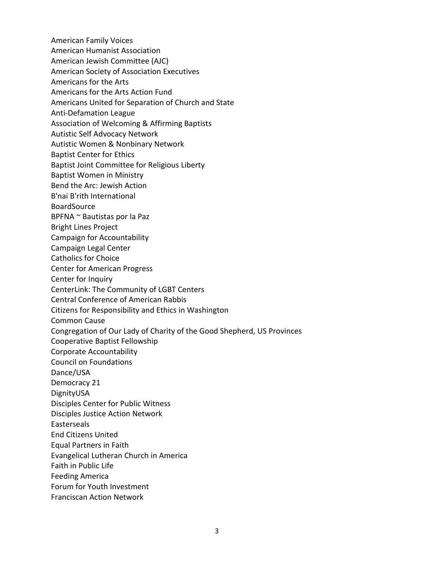American Family Voices

- American Humanist Association
- American Jewish Committee (AJC)
- American Society of Association Executives
- Americans for the Arts
- Americans for the Arts Action Fund
- Americans United for Separation of Church and State
- Anti-Defamation League
- Association of Welcoming & Affirming Baptists
- Autistic Self Advocacy Network
- Autistic Women & Nonbinary Network
- Baptist Center for Ethics
- Baptist Joint Committee for Religious Liberty
- Baptist Women in Ministry
- Bend the Arc: Jewish Action
- B'nai B'rith International
- BoardSource
- BPFNA ~ Bautistas por la Paz
- Bright Lines Project
- Campaign for Accountability
- Campaign Legal Center
- Catholics for Choice
- Center for American Progress
- Center for Inquiry
- CenterLink: The Community of LGBT Centers
- Central Conference of American Rabbis
- Citizens for Responsibility and Ethics in Washington
- Common Cause
- Congregation of Our Lady of Charity of the Good Shepherd, US Provinces
- Cooperative Baptist Fellowship
- Corporate Accountability
- Council on Foundations
- Dance/USA
- Democracy 21
- DignityUSA
- Disciples Center for Public Witness
- Disciples Justice Action Network
- Easterseals
- End Citizens United
- Equal Partners in Faith
- Evangelical Lutheran Church in America
- Faith in Public Life
- Feeding America
- Forum for Youth Investment
- Franciscan Action Network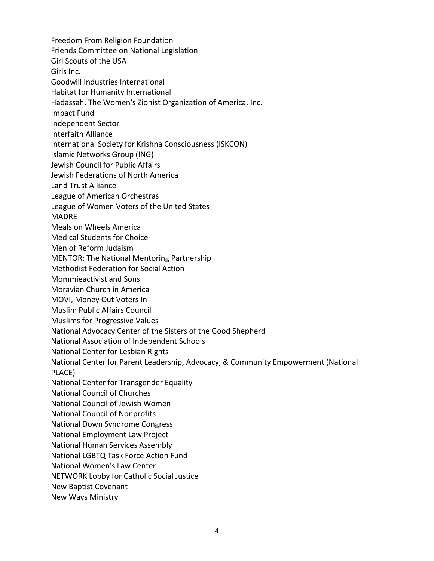Freedom From Religion Foundation Friends Committee on National Legislation Girl Scouts of the USA Girls Inc. Goodwill Industries International Habitat for Humanity International Hadassah, The Women's Zionist Organization of America, Inc. Impact Fund Independent Sector Interfaith Alliance International Society for Krishna Consciousness (ISKCON) Islamic Networks Group (ING) Jewish Council for Public Affairs Jewish Federations of North America Land Trust Alliance League of American Orchestras League of Women Voters of the United States MADRE Meals on Wheels America Medical Students for Choice Men of Reform Judaism MENTOR: The National Mentoring Partnership Methodist Federation for Social Action Mommieactivist and Sons Moravian Church in America MOVI, Money Out Voters In Muslim Public Affairs Council Muslims for Progressive Values National Advocacy Center of the Sisters of the Good Shepherd National Association of Independent Schools National Center for Lesbian Rights National Center for Parent Leadership, Advocacy, & Community Empowerment (National PLACE) National Center for Transgender Equality National Council of Churches National Council of Jewish Women National Council of Nonprofits National Down Syndrome Congress National Employment Law Project National Human Services Assembly National LGBTQ Task Force Action Fund National Women's Law Center NETWORK Lobby for Catholic Social Justice New Baptist Covenant New Ways Ministry